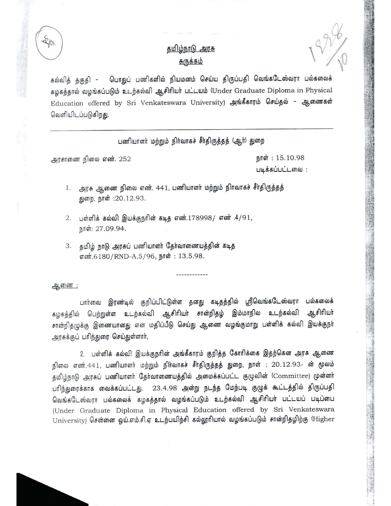$\mathcal{L}(\mathbf{r})$  is a substitute of  $\mathcal{L}(\mathbf{r})$  is a substitution of  $\mathcal{L}(\mathbf{r})$  is a substitution of the substitution of  $\mathcal{L}(\mathbf{r})$  is a substitution of the substitution of  $\mathcal{L}(\mathbf{r})$  is a substitution of the

## <u>தமிழ்நாடு அரசு</u> <u>சுருக்கம்</u>

கல்வித் தகுதி - பொதுப் பணிகளில் நியமனம் செய்ய திருப்பதி வெங்கடேஸ்வரா பல்கலைக் கழகத்தால் வழங்கப்படும் உடற்கல்வி ஆசிரியர் பட்டயம் (Under Graduate Diploma in Physical Education offered by Sri Venkateswara University) அங்கீகாரம் செய்தல் - ஆணைகள் வெளியிடப்படுகிறது.

பணியாளர் மற்றும் நிர்வாகச் சீர்திருத்தத் (ஆர்) துறை

அரசாணை நிலை எண். 252

நாள்:  $15.10.98$ Uiq.d;diUULL6IDQJ :

1. அரசு ஆணை நிலை எண். 441, பணியாளர் மற்றும் நிாவாகச் சீர்திருத்தத் துறை, நாள்: 20.12.93.

2. பள்ளிக் கல்வி இயக்குநரின் கடித எண்.178998/ எண் .4/91, நாள்: 27.09.94.

3. தமிழ் நாடு அரசுப் பணியாளர் தேர்வாணையத்தின் கடித எண்.6180/RND-A.5/96, நாள்: 13.5.98.

ஆணை:

பார்வை இரண்டில் குறிப்பிட்டுள்ள தனது கடிதத்தில் ஸ்ரீவெங்கடேஸ்வரா பல்கலைக் கழகத்தில் பெற்றுள்ள உடற்கல்வி ஆசிரியர் சான்றிதழ் இம்மாநில உடற்கல்வி ஆசிரியர் சான்றிதழுக்கு இணையானது என மதிப்பீடு செய்து ஆணை வழங்குமாறு பள்ளிக் கல்வி இயக்குநா் அரசுக்குப் பரிந்துரை செய்துள்ளார்,

2. பள்ளிக் கல்வி இயக்குநரின் அங்கீகாரம் குறித்த கோரிக்கை இதற்கென அரசு ஆணை நிலை எண்.441, பணியாளர் மற்றும் நிர்வாகச் சீர்திருத்தத் துறை, நாள் : 20.12.93- ன் மூலம் தமிழ்நாடு அரசுப் பணியாளர் தேர்வாணையத்தில் அமைக்கப்பட்ட குழுவின் (Committee) முன்னர் பரிந்துரைக்காக வைக்கப்பட்டது. 23.4.98 அன்று நடந்த மேற்படி குழுக் கூட்டத்தில் திருப்பதி வெங்கடேஸ்வரா பல்கலைக் கழகத்தால் வழங்கப்படும் உடற்கல்வி ஆசிரியர் பட்டயப் படிப்பை (Under Graduate Diploma in Physical Education offered by Sri Venkateswara University) சென்னை ஒய்.எம்.சி.ஏ உடற்பயிற்சி கல்லூரியால் வழங்கப்படும் சான்றிதழிற்கு (Higher